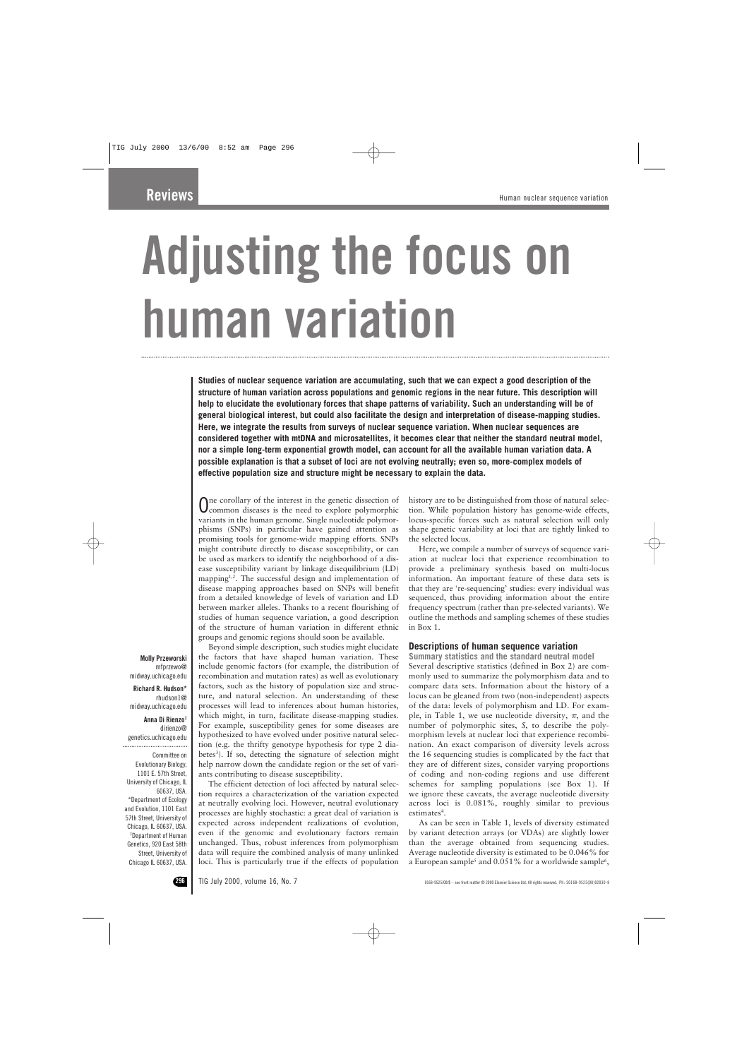# **Adjusting the focus on human variation**

**Studies of nuclear sequence variation are accumulating, such that we can expect a good description of the structure of human variation across populations and genomic regions in the near future. This description will help to elucidate the evolutionary forces that shape patterns of variability. Such an understanding will be of general biological interest, but could also facilitate the design and interpretation of disease-mapping studies. Here, we integrate the results from surveys of nuclear sequence variation. When nuclear sequences are considered together with mtDNA and microsatellites, it becomes clear that neither the standard neutral model, nor a simple long-term exponential growth model, can account for all the available human variation data. A possible explanation is that a subset of loci are not evolving neutrally; even so, more-complex models of effective population size and structure might be necessary to explain the data.**

One corollary of the interest in the genetic dissection of common diseases is the need to explore polymorphic variants in the human genome. Single nucleotide polymorphisms (SNPs) in particular have gained attention as promising tools for genome-wide mapping efforts. SNPs might contribute directly to disease susceptibility, or can be used as markers to identify the neighborhood of a disease susceptibility variant by linkage disequilibrium (LD) mapping<sup>1,2</sup>. The successful design and implementation of disease mapping approaches based on SNPs will benefit from a detailed knowledge of levels of variation and LD between marker alleles. Thanks to a recent flourishing of studies of human sequence variation, a good description of the structure of human variation in different ethnic groups and genomic regions should soon be available.

**Molly Przeworski** mfprzewo@ midway.uchicago.edu

**Richard R. Hudson\*** rhudson1@ midway.uchicago.edu

**Anna Di Rienzo‡** dirienzo@ genetics.uchicago.edu

Committee on Evolutionary Biology, 1101 E. 57th Street, University of Chicago, IL 60637, USA. \*Department of Ecology and Evolution, 1101 East 57th Street, University of Chicago, IL 60637, USA. ‡ Department of Human Genetics, 920 East 58th Street, University of Chicago IL 60637, USA.

Beyond simple description, such studies might elucidate the factors that have shaped human variation. These include genomic factors (for example, the distribution of recombination and mutation rates) as well as evolutionary factors, such as the history of population size and structure, and natural selection. An understanding of these processes will lead to inferences about human histories, which might, in turn, facilitate disease-mapping studies. For example, susceptibility genes for some diseases are hypothesized to have evolved under positive natural selection (e.g*.* the thrifty genotype hypothesis for type 2 diabetes<sup>3</sup>). If so, detecting the signature of selection might help narrow down the candidate region or the set of variants contributing to disease susceptibility.

The efficient detection of loci affected by natural selection requires a characterization of the variation expected at neutrally evolving loci. However, neutral evolutionary processes are highly stochastic: a great deal of variation is expected across independent realizations of evolution, even if the genomic and evolutionary factors remain unchanged. Thus, robust inferences from polymorphism data will require the combined analysis of many unlinked loci. This is particularly true if the effects of population

history are to be distinguished from those of natural selection. While population history has genome-wide effects, locus-specific forces such as natural selection will only shape genetic variability at loci that are tightly linked to the selected locus.

Here, we compile a number of surveys of sequence variation at nuclear loci that experience recombination to provide a preliminary synthesis based on multi-locus information. An important feature of these data sets is that they are 're-sequencing' studies: every individual was sequenced, thus providing information about the entire frequency spectrum (rather than pre-selected variants). We outline the methods and sampling schemes of these studies in Box 1.

## **Descriptions of human sequence variation**

**Summary statistics and the standard neutral model** Several descriptive statistics (defined in Box 2) are commonly used to summarize the polymorphism data and to compare data sets. Information about the history of a locus can be gleaned from two (non-independent) aspects of the data: levels of polymorphism and LD. For example, in Table 1, we use nucleotide diversity,  $\pi$ , and the number of polymorphic sites, *S*, to describe the polymorphism levels at nuclear loci that experience recombination. An exact comparison of diversity levels across the 16 sequencing studies is complicated by the fact that they are of different sizes, consider varying proportions of coding and non-coding regions and use different schemes for sampling populations (see Box 1). If we ignore these caveats, the average nucleotide diversity across loci is 0.081%, roughly similar to previous estimates<sup>4</sup>.

As can be seen in Table 1, levels of diversity estimated by variant detection arrays (or VDAs) are slightly lower than the average obtained from sequencing studies. Average nucleotide diversity is estimated to be 0.046% for a European sample<sup>5</sup> and  $0.051\%$  for a worldwide sample<sup>6</sup>,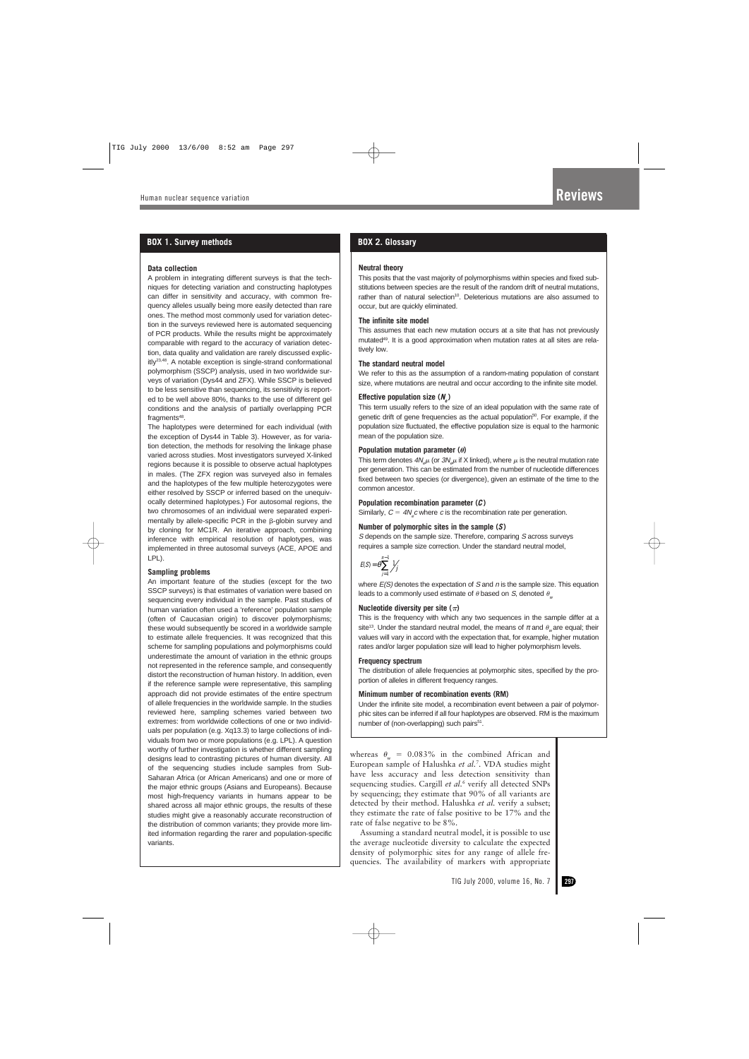# **BOX 1. Survey methods**

#### **Data collection**

A problem in integrating different surveys is that the techniques for detecting variation and constructing haplotypes can differ in sensitivity and accuracy, with common frequency alleles usually being more easily detected than rare ones. The method most commonly used for variation detection in the surveys reviewed here is automated sequencing of PCR products. While the results might be approximately comparable with regard to the accuracy of variation detection, data quality and validation are rarely discussed explicitly23,48. A notable exception is single-strand conformational polymorphism (SSCP) analysis, used in two worldwide surveys of variation (Dys44 and ZFX). While SSCP is believed to be less sensitive than sequencing, its sensitivity is reported to be well above 80%, thanks to the use of different gel conditions and the analysis of partially overlapping PCR fragments<sup>48</sup>.

The haplotypes were determined for each individual (with the exception of Dys44 in Table 3). However, as for variation detection, the methods for resolving the linkage phase varied across studies. Most investigators surveyed X-linked regions because it is possible to observe actual haplotypes in males. (The ZFX region was surveyed also in females and the haplotypes of the few multiple heterozygotes were either resolved by SSCP or inferred based on the unequivocally determined haplotypes.) For autosomal regions, the two chromosomes of an individual were separated experimentally by allele-specific PCR in the  $\beta$ -globin survey and by cloning for MC1R. An iterative approach, combining inference with empirical resolution of haplotypes, was implemented in three autosomal surveys (ACE, APOE and LPL).

#### **Sampling problems**

An important feature of the studies (except for the two SSCP surveys) is that estimates of variation were based on sequencing every individual in the sample. Past studies of human variation often used a 'reference' population sample (often of Caucasian origin) to discover polymorphisms; these would subsequently be scored in a worldwide sample to estimate allele frequencies. It was recognized that this scheme for sampling populations and polymorphisms could underestimate the amount of variation in the ethnic groups not represented in the reference sample, and consequently distort the reconstruction of human history. In addition, even if the reference sample were representative, this sampling approach did not provide estimates of the entire spectrum of allele frequencies in the worldwide sample. In the studies reviewed here, sampling schemes varied between two extremes: from worldwide collections of one or two individuals per population (e.g. Xq13.3) to large collections of individuals from two or more populations (e.g. LPL). A question worthy of further investigation is whether different sampling designs lead to contrasting pictures of human diversity. All of the sequencing studies include samples from Sub-Saharan Africa (or African Americans) and one or more of the major ethnic groups (Asians and Europeans). Because most high-frequency variants in humans appear to be shared across all major ethnic groups, the results of these studies might give a reasonably accurate reconstruction of the distribution of common variants; they provide more limited information regarding the rarer and population-specific variants.

# **BOX 2. Glossary**

#### **Neutral theory**

This posits that the vast majority of polymorphisms within species and fixed substitutions between species are the result of the random drift of neutral mutations, rather than of natural selection<sup>10</sup>. Deleterious mutations are also assumed to occur, but are quickly eliminated.

#### **The infinite site model**

This assumes that each new mutation occurs at a site that has not previously mutated49. It is a good approximation when mutation rates at all sites are relatively low.

#### **The standard neutral model**

We refer to this as the assumption of a random-mating population of constant size, where mutations are neutral and occur according to the infinite site model.

#### **Effective population size (N<sup>e</sup> )**

This term usually refers to the size of an ideal population with the same rate of genetic drift of gene frequencies as the actual population<sup>50</sup>. For example, if the population size fluctuated, the effective population size is equal to the harmonic mean of the population size.

#### **Population mutation parameter**  $(\theta)$

This term denotes  $4N_{e}\mu$  (or  $3N_{e}\mu$  if X linked), where  $\mu$  is the neutral mutation rate per generation. This can be estimated from the number of nucleotide differences fixed between two species (or divergence), given an estimate of the time to the common ancestor.

#### **Population recombination parameter (C )**

Similarly,  $C = 4N_{e}c$  where c is the recombination rate per generation.

#### **Number of polymorphic sites in the sample (S)**

S depends on the sample size. Therefore, comparing S across surveys requires a sample size correction. Under the standard neutral model,

$$
E(S) = \theta \sum_{j=1}^{n-1} \frac{1}{j}
$$

where  $E(S)$  denotes the expectation of S and n is the sample size. This equation leads to a commonly used estimate of  $\theta$  based on S, denoted  $\theta_{\ldots}$ 

#### **Nucleotide diversity per site**  $(\pi)$

This is the frequency with which any two sequences in the sample differ at a site<sup>13</sup>. Under the standard neutral model, the means of  $\pi$  and  $\theta_{\omega}$  are equal; their values will vary in accord with the expectation that, for example, higher mutation rates and/or larger population size will lead to higher polymorphism levels.

#### **Frequency spectrum**

The distribution of allele frequencies at polymorphic sites, specified by the proportion of alleles in different frequency ranges.

#### **Minimum number of recombination events (RM)**

Under the infinite site model, a recombination event between a pair of polymorphic sites can be inferred if all four haplotypes are observed. RM is the maximum number of (non-overlapping) such pairs<sup>51</sup>.

whereas  $\theta_{\rm w}$  = 0.083% in the combined African and European sample of Halushka *et al.*7. VDA studies might have less accuracy and less detection sensitivity than sequencing studies. Cargill *et al.*<sup>6</sup> verify all detected SNPs by sequencing; they estimate that 90% of all variants are detected by their method. Halushka *et al.* verify a subset; they estimate the rate of false positive to be 17% and the rate of false negative to be 8%.

Assuming a standard neutral model, it is possible to use the average nucleotide diversity to calculate the expected density of polymorphic sites for any range of allele frequencies. The availability of markers with appropriate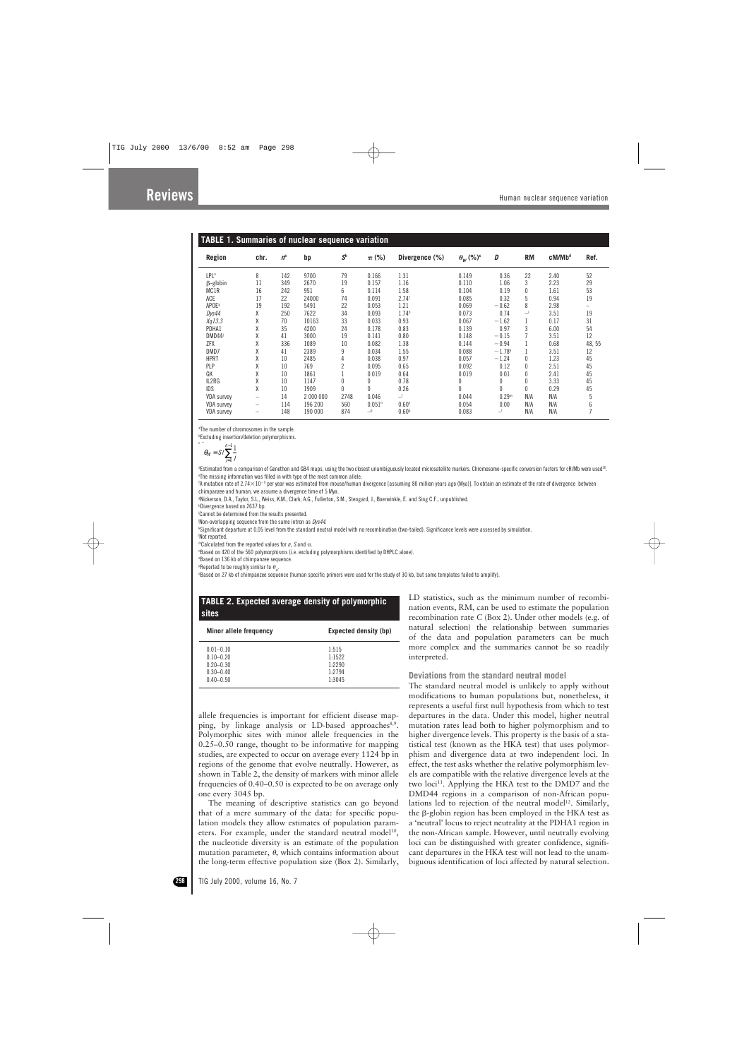| <b>TABLE 1. Summaries of nuclear sequence variation</b> |          |            |                      |                     |                             |                             |                               |                           |            |                    |              |
|---------------------------------------------------------|----------|------------|----------------------|---------------------|-----------------------------|-----------------------------|-------------------------------|---------------------------|------------|--------------------|--------------|
| Region                                                  | chr.     | $n^a$      | bp                   | S <sup>b</sup>      | $\pi$ (%)                   | Divergence (%)              | $\theta_{w}$ (%) <sup>c</sup> | D                         | <b>RM</b>  | cM/Mb <sup>d</sup> | Ref.         |
| <b>LPL<sup>e</sup></b>                                  | 8        | 142        | 9700                 | 79                  | 0.166                       | 1.31                        | 0.149                         | 0.36                      | 22         | 2.40               | 52           |
| $\beta$ -globin<br>MC1R                                 | 11<br>16 | 349<br>242 | 2670<br>951          | 19<br>6             | 0.157<br>0.114              | 1.16<br>1.58                | 0.110<br>0.104                | 1.06<br>0.19              | 3<br>0     | 2.23<br>1.61       | 29<br>53     |
| ACE<br><b>APOE</b> <sup>g</sup>                         | 17<br>19 | 22<br>192  | 24000<br>5491        | 74<br>22            | 0.091<br>0.053              | $2.74$ <sup>f</sup><br>1.21 | 0.085<br>0.069                | 0.32<br>$-0.62$           | 5<br>8     | 0.94<br>2.98       | 19           |
| Dys44                                                   | χ        | 250        | 7622                 | 34                  | 0.093                       | 1.74 <sup>h</sup>           | 0.073                         | 0.74                      | ∸          | 3.51               | 19           |
| Xq13.3<br>PDHA1                                         | χ<br>χ   | 70<br>35   | 10163<br>4200        | 33<br>24            | 0.033<br>0.178              | 0.93<br>0.83                | 0.067<br>0.139                | $-1.62$<br>0.97           | 3          | 0.17<br>6.00       | 31<br>54     |
| DMD44<br>ZFX                                            | χ<br>χ   | 41<br>336  | 3000<br>1089         | 19<br>10            | 0.141<br>0.082              | 0.80<br>1.38                | 0.148<br>0.144                | $-0.15$<br>$-0.94$        |            | 3.51<br>0.68       | 12<br>48, 55 |
| DMD7                                                    | χ<br>χ   | 41<br>10   | 2389<br>2485         | 9                   | 0.034<br>0.038              | 1.55<br>0.97                | 0.088                         | $-1.78k$<br>$-1.24$       | L<br>0     | 3.51               | 12<br>45     |
| <b>HPRT</b><br>PLP                                      | χ        | 10         | 769                  | 4<br>$\overline{2}$ | 0.095                       | 0.65                        | 0.057<br>0.092                | 0.12                      | 0          | 1.23<br>2.51       | 45           |
| GK<br>IL2RG                                             | χ<br>χ   | 10<br>10   | 1861<br>1147         | 0                   | 0.019<br>0                  | 0.64<br>0.78                | 0.019<br>0                    | 0.01<br>0                 | 0<br>0     | 2.41<br>3.33       | 45<br>45     |
| <b>IDS</b>                                              | χ        | 10<br>14   | 1909                 | 0                   | $\Omega$                    | 0.26<br>ᆚ                   | $\Omega$                      | $\Omega$                  | 0          | 0.29               | 45           |
| <b>VDA</b> survey<br><b>VDA</b> survey                  | -<br>-   | 114        | 2 000 000<br>196 200 | 2748<br>560         | 0.046<br>0.051 <sup>n</sup> | $0.60^\circ$                | 0.044<br>0.054                | 0.29 <sup>m</sup><br>0.00 | N/A<br>N/A | N/A<br>N/A         |              |
| <b>VDA</b> survey                                       | -        | 148        | 190 000              | 874                 | $\mathsf{P}$                | 0.60 <sup>q</sup>           | 0.083                         | ┙                         | N/A        | N/A                |              |

a The number of chromosomes in the sample.

b Excluding insertion/deletion polymorphisms. c

$$
\theta_W=S/\sum_{j=1}^{n-1}\frac{1}{j}
$$

<sup>d</sup>Estimated from a comparison of Genethon and GB4 maps, using the two closest unambiguously located microsatellite markers. Chromosome-specific conversion factors for cR/Mb were used<sup>56</sup>. e The missing information was filled in with type of the most common allele.

<sup>f</sup>A mutation rate of 2.74 $\times$ 10<sup>-9</sup> per year was estimated from mouse/human divergence [assuming 80 million years ago (Mya)]. To obtain an estimate of the rate of divergence between chimpanzee and human, we assume a divergence time of 5 Mya.

g Nickerson, D.A., Taylor, S.L., Weiss, K.M., Clark, A.G., Fullerton, S.M., Stengard, J., Boerwinkle, E. and Sing C.F., unpublished.

h Divergence based on 2637 bp.

i Cannot be determined from the results presented.

Non-overlapping sequence from the same intron as Dys44.

k Significant departure at 0.05 level from the standard neutral model with no recombination (two-tailed). Significance levels were assessed by simulation.

l Not reported.

 $^{\rm m}$ Calculated from the reported values for n, S and  $\pi.$ 

Based on 420 of the 560 polymorphisms (i.e. excluding polymorphisms identified by DHPLC alone).

**Based on 136 kb of chimpanzee sequence.** 

 ${}^{\rm p}$ Reported to be roughly similar to  $\theta_{_{\rm W}}$ .

Based on 27 kb of chimpanzee sequence (human specific primers were used for the study of 30 kb, but some templates failed to amplify).

# **TABLE 2. Expected average density of polymorphic sites**

| Minor allele frequency | Expected density (bp) |
|------------------------|-----------------------|
| $0.01 - 0.10$          | 1.515                 |
| $010 - 020$            | 1.1522                |
| $0.20 - 0.30$          | 1.2290                |
| $0.30 - 0.40$          | 1.2794                |
| $0.40 - 0.50$          | 1:3045                |

allele frequencies is important for efficient disease mapping, by linkage analysis or LD-based approaches<sup>8,9</sup>. Polymorphic sites with minor allele frequencies in the 0.25–0.50 range, thought to be informative for mapping studies, are expected to occur on average every 1124 bp in regions of the genome that evolve neutrally. However, as shown in Table 2, the density of markers with minor allele frequencies of 0.40–0.50 is expected to be on average only one every 3045 bp.

The meaning of descriptive statistics can go beyond that of a mere summary of the data: for specific population models they allow estimates of population parameters. For example, under the standard neutral model<sup>10</sup>, the nucleotide diversity is an estimate of the population mutation parameter,  $\theta$ , which contains information about the long-term effective population size (Box 2). Similarly,

LD statistics, such as the minimum number of recombination events, RM, can be used to estimate the population recombination rate *C* (Box 2). Under other models (e.g*.* of natural selection) the relationship between summaries of the data and population parameters can be much more complex and the summaries cannot be so readily interpreted.

#### **Deviations from the standard neutral model**

The standard neutral model is unlikely to apply without modifications to human populations but, nonetheless, it represents a useful first null hypothesis from which to test departures in the data. Under this model, higher neutral mutation rates lead both to higher polymorphism and to higher divergence levels. This property is the basis of a statistical test (known as the HKA test) that uses polymorphism and divergence data at two independent loci. In effect, the test asks whether the relative polymorphism levels are compatible with the relative divergence levels at the two loci<sup>11</sup>. Applying the HKA test to the DMD7 and the DMD44 regions in a comparison of non-African populations led to rejection of the neutral model<sup>12</sup>. Similarly, the b-globin region has been employed in the HKA test as a 'neutral' locus to reject neutrality at the PDHA1 region in the non-African sample. However, until neutrally evolving loci can be distinguished with greater confidence, significant departures in the HKA test will not lead to the unambiguous identification of loci affected by natural selection.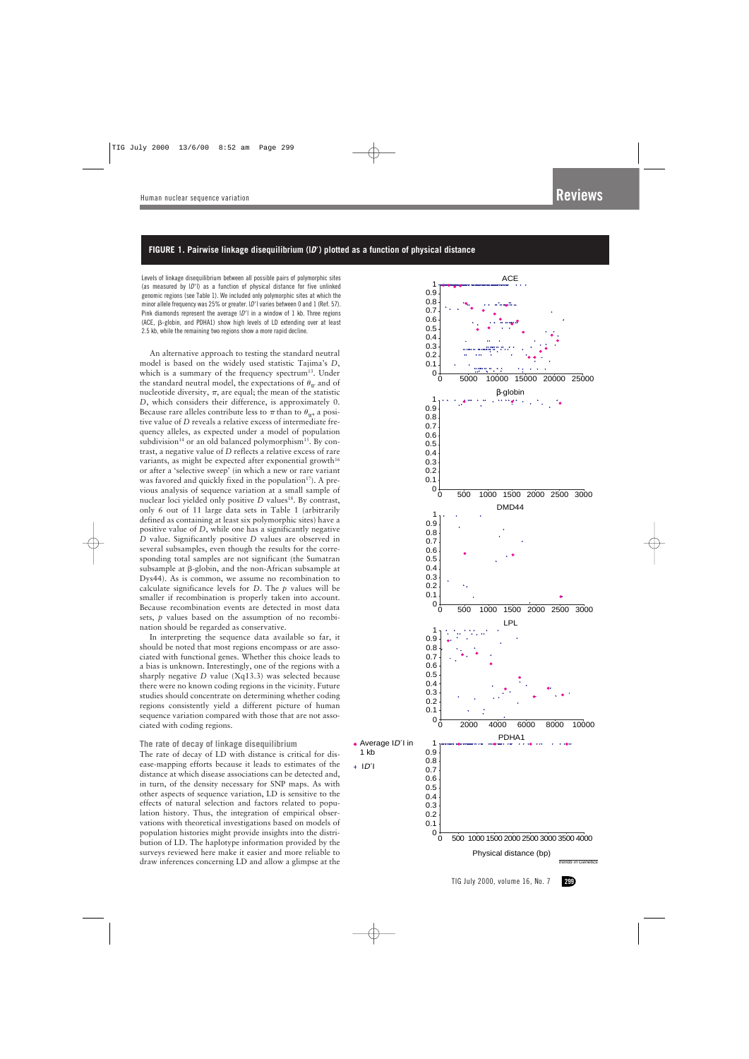# **FIGURE 1. Pairwise linkage disequilibrium (|D**9**) plotted as a function of physical distance**

Levels of linkage disequilibrium between all possible pairs of polymorphic sites (as measured by  $|D'|$ ) as a function of physical distance for five unlinked genomic regions (see Table 1). We included only polymorphic sites at which the minor allele frequency was 25% or greater.  $|D'|$  varies between 0 and 1 (Ref. 57). Pink diamonds represent the average  $|D'|$  in a window of 1 kb. Three regions (ACE,  $\beta$ -globin, and PDHA1) show high levels of LD extending over at least 2.5 kb, while the remaining two regions show a more rapid decline.

An alternative approach to testing the standard neutral model is based on the widely used statistic Tajima's *D*, which is a summary of the frequency spectrum<sup>13</sup>. Under the standard neutral model, the expectations of  $\theta_w$  and of nucleotide diversity,  $\pi$ , are equal; the mean of the statistic *D*, which considers their difference, is approximately 0. Because rare alleles contribute less to  $\pi$  than to  $\theta_{\rm w}$ , a positive value of *D* reveals a relative excess of intermediate frequency alleles, as expected under a model of population subdivision<sup>14</sup> or an old balanced polymorphism<sup>15</sup>. By contrast, a negative value of *D* reflects a relative excess of rare variants, as might be expected after exponential growth<sup>16</sup> or after a 'selective sweep' (in which a new or rare variant was favored and quickly fixed in the population<sup>17</sup>). A previous analysis of sequence variation at a small sample of nuclear loci yielded only positive *D* values<sup>18</sup>. By contrast, only 6 out of 11 large data sets in Table 1 (arbitrarily defined as containing at least six polymorphic sites) have a positive value of *D*, while one has a significantly negative *D* value. Significantly positive *D* values are observed in several subsamples, even though the results for the corresponding total samples are not significant (the Sumatran subsample at  $\beta$ -globin, and the non-African subsample at Dys44). As is common, we assume no recombination to calculate significance levels for *D*. The *p* values will be smaller if recombination is properly taken into account. Because recombination events are detected in most data sets, *p* values based on the assumption of no recombination should be regarded as conservative.

In interpreting the sequence data available so far, it should be noted that most regions encompass or are associated with functional genes. Whether this choice leads to a bias is unknown. Interestingly, one of the regions with a sharply negative *D* value (Xq13.3) was selected because there were no known coding regions in the vicinity. Future studies should concentrate on determining whether coding regions consistently yield a different picture of human sequence variation compared with those that are not associated with coding regions.

#### **The rate of decay of linkage disequilibrium**

The rate of decay of LD with distance is critical for disease-mapping efforts because it leads to estimates of the distance at which disease associations can be detected and, in turn, of the density necessary for SNP maps. As with other aspects of sequence variation, LD is sensitive to the effects of natural selection and factors related to population history. Thus, the integration of empirical observations with theoretical investigations based on models of population histories might provide insights into the distribution of LD. The haplotype information provided by the surveys reviewed here make it easier and more reliable to draw inferences concerning LD and allow a glimpse at the

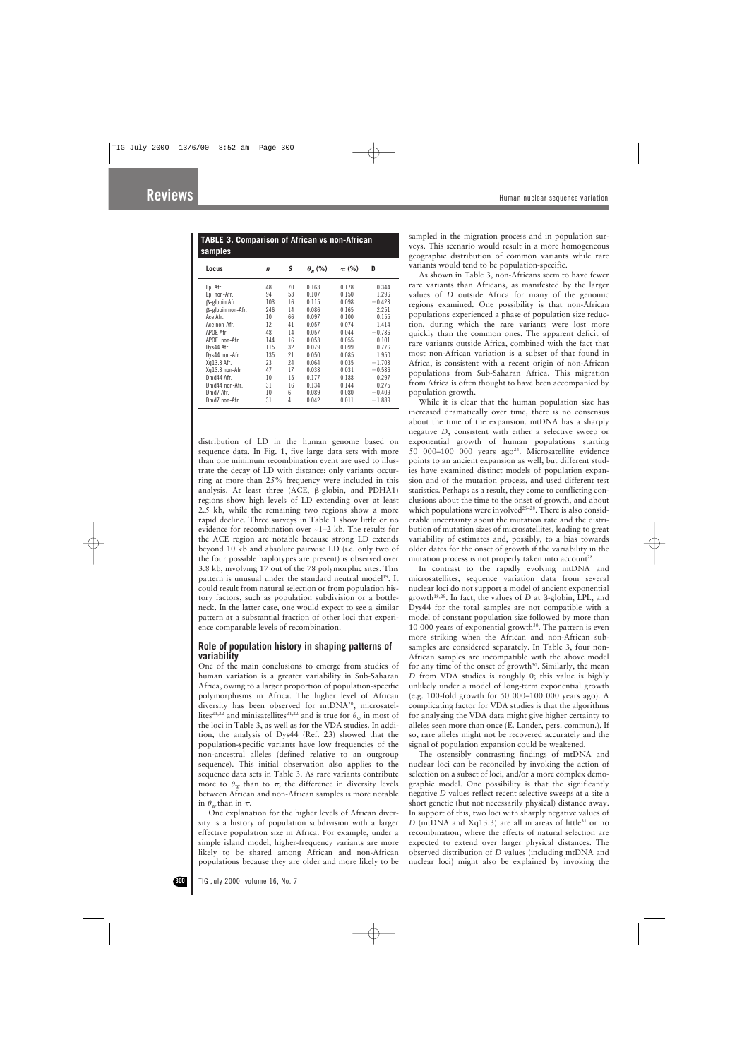| <b>TABLE 3. Comparison of African vs non-African</b><br>samples                                                                                                                                                                        |                                                                                             |                                                                                       |                                                                                                                                     |                                                                                                                                       |                                                                                                                                                   |  |  |  |  |
|----------------------------------------------------------------------------------------------------------------------------------------------------------------------------------------------------------------------------------------|---------------------------------------------------------------------------------------------|---------------------------------------------------------------------------------------|-------------------------------------------------------------------------------------------------------------------------------------|---------------------------------------------------------------------------------------------------------------------------------------|---------------------------------------------------------------------------------------------------------------------------------------------------|--|--|--|--|
| Locus                                                                                                                                                                                                                                  | $\mathbf n$                                                                                 | S                                                                                     | $\theta_{\rm w}$ (%)                                                                                                                | $\pi$ (%)                                                                                                                             | D                                                                                                                                                 |  |  |  |  |
| LpI Afr.<br>LpI non-Afr.<br>B-globin Afr.<br>B-globin non-Afr.<br>Ace Afr.<br>Ace non-Afr.<br>APOE Afr.<br>APOE non-Afr.<br>Dys44 Afr.<br>Dys44 non-Afr.<br>Xg13.3 Afr.<br>Xq13.3 non-Afr<br>Dmd44 Afr.<br>Dmd44 non-Afr.<br>Dmd7 Afr. | 48<br>94<br>103<br>246<br>10<br>12<br>48<br>144<br>115<br>135<br>23<br>47<br>10<br>31<br>10 | 70<br>53<br>16<br>14<br>66<br>41<br>14<br>16<br>32<br>21<br>24<br>17<br>15<br>16<br>ĥ | 0.163<br>0.107<br>0.115<br>0.086<br>0.097<br>0.057<br>0.057<br>0.053<br>0.079<br>0.050<br>0.064<br>0.038<br>0.177<br>0.134<br>0.089 | 0.178<br>0.150<br>0.098<br>0.165<br>0.100<br>0 0 7 4<br>0.044<br>0.055<br>0.099<br>0.085<br>0.035<br>0.031<br>0.188<br>0.144<br>0.080 | 0.344<br>1.296<br>$-0.423$<br>2.251<br>0.155<br>1414<br>$-0.736$<br>0.101<br>0.776<br>1.950<br>$-1.703$<br>$-0.586$<br>0.297<br>0.275<br>$-0.409$ |  |  |  |  |
| Dmd7 non-Afr.                                                                                                                                                                                                                          | 31                                                                                          | 4                                                                                     | 0.042                                                                                                                               | 0.011                                                                                                                                 | $-1.889$                                                                                                                                          |  |  |  |  |

distribution of LD in the human genome based on sequence data. In Fig. 1, five large data sets with more than one minimum recombination event are used to illustrate the decay of LD with distance; only variants occurring at more than 25% frequency were included in this analysis. At least three (ACE,  $\beta$ -globin, and PDHA1) regions show high levels of LD extending over at least 2.5 kb, while the remaining two regions show a more rapid decline. Three surveys in Table 1 show little or no evidence for recombination over ~1–2 kb. The results for the ACE region are notable because strong LD extends beyond 10 kb and absolute pairwise LD (i.e*.* only two of the four possible haplotypes are present) is observed over 3.8 kb, involving 17 out of the 78 polymorphic sites. This pattern is unusual under the standard neutral model<sup>19</sup>. It could result from natural selection or from population history factors, such as population subdivision or a bottleneck. In the latter case, one would expect to see a similar pattern at a substantial fraction of other loci that experience comparable levels of recombination.

# **Role of population history in shaping patterns of variability**

One of the main conclusions to emerge from studies of human variation is a greater variability in Sub-Saharan Africa, owing to a larger proportion of population-specific polymorphisms in Africa. The higher level of African diversity has been observed for mtDNA<sup>20</sup>, microsatellites<sup>21,22</sup> and minisatellites<sup>21,22</sup> and is true for  $\theta_w$  in most of the loci in Table 3, as well as for the VDA studies. In addition, the analysis of Dys44 (Ref. 23) showed that the population-specific variants have low frequencies of the non-ancestral alleles (defined relative to an outgroup sequence). This initial observation also applies to the sequence data sets in Table 3. As rare variants contribute more to  $\theta_w$  than to  $\pi$ , the difference in diversity levels between African and non-African samples is more notable in  $\theta_w$  than in  $\pi$ .

One explanation for the higher levels of African diversity is a history of population subdivision with a larger effective population size in Africa. For example, under a simple island model, higher-frequency variants are more likely to be shared among African and non-African populations because they are older and more likely to be

sampled in the migration process and in population surveys. This scenario would result in a more homogeneous geographic distribution of common variants while rare variants would tend to be population-specific.

As shown in Table 3, non-Africans seem to have fewer rare variants than Africans, as manifested by the larger values of *D* outside Africa for many of the genomic regions examined. One possibility is that non-African populations experienced a phase of population size reduction, during which the rare variants were lost more quickly than the common ones. The apparent deficit of rare variants outside Africa, combined with the fact that most non-African variation is a subset of that found in Africa, is consistent with a recent origin of non-African populations from Sub-Saharan Africa. This migration from Africa is often thought to have been accompanied by population growth.

While it is clear that the human population size has increased dramatically over time, there is no consensus about the time of the expansion. mtDNA has a sharply negative *D*, consistent with either a selective sweep or exponential growth of human populations starting 50 000-100 000 years ago<sup>24</sup>. Microsatellite evidence points to an ancient expansion as well, but different studies have examined distinct models of population expansion and of the mutation process, and used different test statistics. Perhaps as a result, they come to conflicting conclusions about the time to the onset of growth, and about which populations were involved<sup>25-28</sup>. There is also considerable uncertainty about the mutation rate and the distribution of mutation sizes of microsatellites, leading to great variability of estimates and, possibly, to a bias towards older dates for the onset of growth if the variability in the mutation process is not properly taken into account<sup>28</sup>.

In contrast to the rapidly evolving mtDNA and microsatellites, sequence variation data from several nuclear loci do not support a model of ancient exponential growth<sup>18,29</sup>. In fact, the values of  $D$  at  $\beta$ -globin, LPL, and Dys44 for the total samples are not compatible with a model of constant population size followed by more than 10 000 years of exponential growth $30$ . The pattern is even more striking when the African and non-African subsamples are considered separately. In Table 3, four non-African samples are incompatible with the above model for any time of the onset of growth<sup>30</sup>. Similarly, the mean *D* from VDA studies is roughly 0; this value is highly unlikely under a model of long-term exponential growth (e.g. 100-fold growth for 50 000–100 000 years ago). A complicating factor for VDA studies is that the algorithms for analysing the VDA data might give higher certainty to alleles seen more than once (E. Lander, pers. commun.). If so, rare alleles might not be recovered accurately and the signal of population expansion could be weakened.

The ostensibly contrasting findings of mtDNA and nuclear loci can be reconciled by invoking the action of selection on a subset of loci, and/or a more complex demographic model. One possibility is that the significantly negative *D* values reflect recent selective sweeps at a site a short genetic (but not necessarily physical) distance away. In support of this, two loci with sharply negative values of  $D$  (mtDNA and Xq13.3) are all in areas of little<sup>31</sup> or no recombination, where the effects of natural selection are expected to extend over larger physical distances. The observed distribution of *D* values (including mtDNA and nuclear loci) might also be explained by invoking the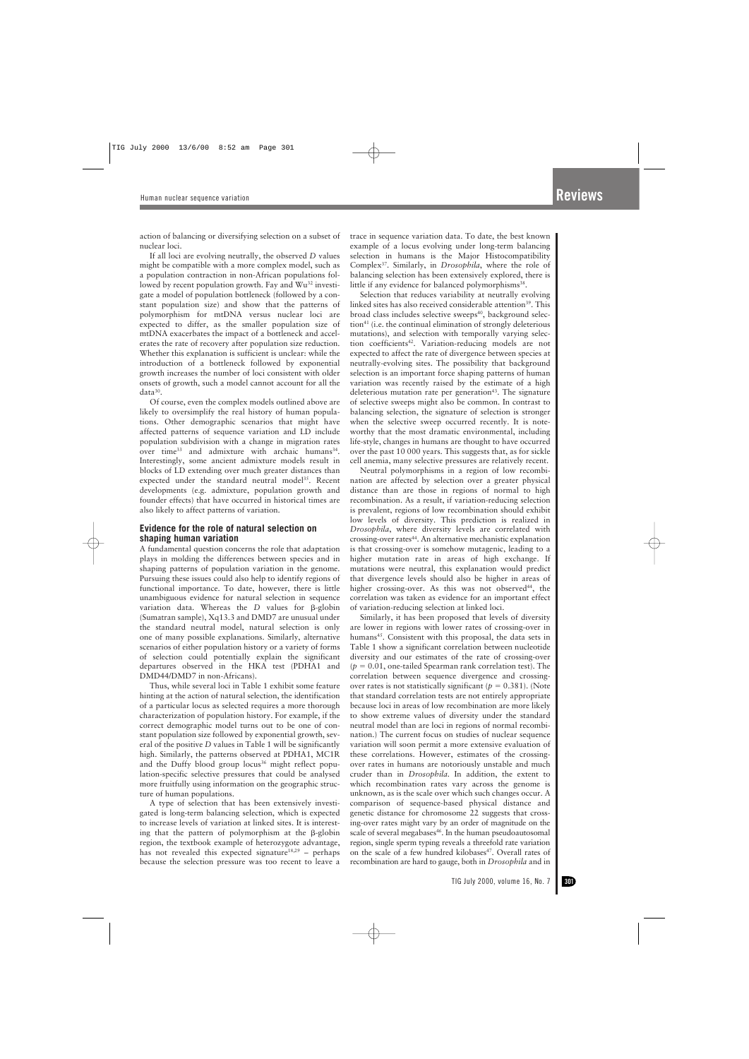action of balancing or diversifying selection on a subset of nuclear loci.

If all loci are evolving neutrally, the observed *D* values might be compatible with a more complex model, such as a population contraction in non-African populations followed by recent population growth. Fay and Wu<sup>32</sup> investigate a model of population bottleneck (followed by a constant population size) and show that the patterns of polymorphism for mtDNA versus nuclear loci are expected to differ, as the smaller population size of mtDNA exacerbates the impact of a bottleneck and accelerates the rate of recovery after population size reduction. Whether this explanation is sufficient is unclear: while the introduction of a bottleneck followed by exponential growth increases the number of loci consistent with older onsets of growth, such a model cannot account for all the data<sup>30</sup>.

Of course, even the complex models outlined above are likely to oversimplify the real history of human populations. Other demographic scenarios that might have affected patterns of sequence variation and LD include population subdivision with a change in migration rates over time<sup>33</sup> and admixture with archaic humans<sup>34</sup>. Interestingly, some ancient admixture models result in blocks of LD extending over much greater distances than expected under the standard neutral model<sup>35</sup>. Recent developments (e.g. admixture, population growth and founder effects) that have occurred in historical times are also likely to affect patterns of variation.

### **Evidence for the role of natural selection on shaping human variation**

A fundamental question concerns the role that adaptation plays in molding the differences between species and in shaping patterns of population variation in the genome. Pursuing these issues could also help to identify regions of functional importance. To date, however, there is little unambiguous evidence for natural selection in sequence variation data. Whereas the  $D$  values for  $\beta$ -globin (Sumatran sample), Xq13.3 and DMD7 are unusual under the standard neutral model, natural selection is only one of many possible explanations. Similarly, alternative scenarios of either population history or a variety of forms of selection could potentially explain the significant departures observed in the HKA test (PDHA1 and DMD44/DMD7 in non-Africans).

Thus, while several loci in Table 1 exhibit some feature hinting at the action of natural selection, the identification of a particular locus as selected requires a more thorough characterization of population history. For example, if the correct demographic model turns out to be one of constant population size followed by exponential growth, several of the positive *D* values in Table 1 will be significantly high. Similarly, the patterns observed at PDHA1, MC1R and the Duffy blood group locus<sup>36</sup> might reflect population-specific selective pressures that could be analysed more fruitfully using information on the geographic structure of human populations.

A type of selection that has been extensively investigated is long-term balancing selection, which is expected to increase levels of variation at linked sites. It is interesting that the pattern of polymorphism at the  $\beta$ -globin region, the textbook example of heterozygote advantage, has not revealed this expected signature<sup>18,29</sup> – perhaps because the selection pressure was too recent to leave a

trace in sequence variation data. To date, the best known example of a locus evolving under long-term balancing selection in humans is the Major Histocompatibility Complex37. Similarly, in *Drosophila*, where the role of balancing selection has been extensively explored, there is little if any evidence for balanced polymorphisms<sup>38</sup>.

Selection that reduces variability at neutrally evolving linked sites has also received considerable attention<sup>39</sup>. This broad class includes selective sweeps<sup>40</sup>, background selection41 (i.e. the continual elimination of strongly deleterious mutations), and selection with temporally varying selection coefficients<sup>42</sup>. Variation-reducing models are not expected to affect the rate of divergence between species at neutrally-evolving sites. The possibility that background selection is an important force shaping patterns of human variation was recently raised by the estimate of a high deleterious mutation rate per generation<sup>43</sup>. The signature of selective sweeps might also be common. In contrast to balancing selection, the signature of selection is stronger when the selective sweep occurred recently. It is noteworthy that the most dramatic environmental, including life-style, changes in humans are thought to have occurred over the past 10 000 years. This suggests that, as for sickle cell anemia, many selective pressures are relatively recent.

Neutral polymorphisms in a region of low recombination are affected by selection over a greater physical distance than are those in regions of normal to high recombination. As a result, if variation-reducing selection is prevalent, regions of low recombination should exhibit low levels of diversity. This prediction is realized in *Drosophila*, where diversity levels are correlated with crossing-over rates<sup>44</sup>. An alternative mechanistic explanation is that crossing-over is somehow mutagenic, leading to a higher mutation rate in areas of high exchange. If mutations were neutral, this explanation would predict that divergence levels should also be higher in areas of higher crossing-over. As this was not observed<sup>44</sup>, the correlation was taken as evidence for an important effect of variation-reducing selection at linked loci.

Similarly, it has been proposed that levels of diversity are lower in regions with lower rates of crossing-over in humans<sup>45</sup>. Consistent with this proposal, the data sets in Table 1 show a significant correlation between nucleotide diversity and our estimates of the rate of crossing-over  $(p = 0.01,$  one-tailed Spearman rank correlation test). The correlation between sequence divergence and crossingover rates is not statistically significant ( $p = 0.381$ ). (Note that standard correlation tests are not entirely appropriate because loci in areas of low recombination are more likely to show extreme values of diversity under the standard neutral model than are loci in regions of normal recombination.) The current focus on studies of nuclear sequence variation will soon permit a more extensive evaluation of these correlations. However, estimates of the crossingover rates in humans are notoriously unstable and much cruder than in *Drosophila*. In addition, the extent to which recombination rates vary across the genome is unknown, as is the scale over which such changes occur. A comparison of sequence-based physical distance and genetic distance for chromosome 22 suggests that crossing-over rates might vary by an order of magnitude on the scale of several megabases<sup>46</sup>. In the human pseudoautosomal region, single sperm typing reveals a threefold rate variation on the scale of a few hundred kilobases<sup>47</sup>. Overall rates of recombination are hard to gauge, both in *Drosophila* and in